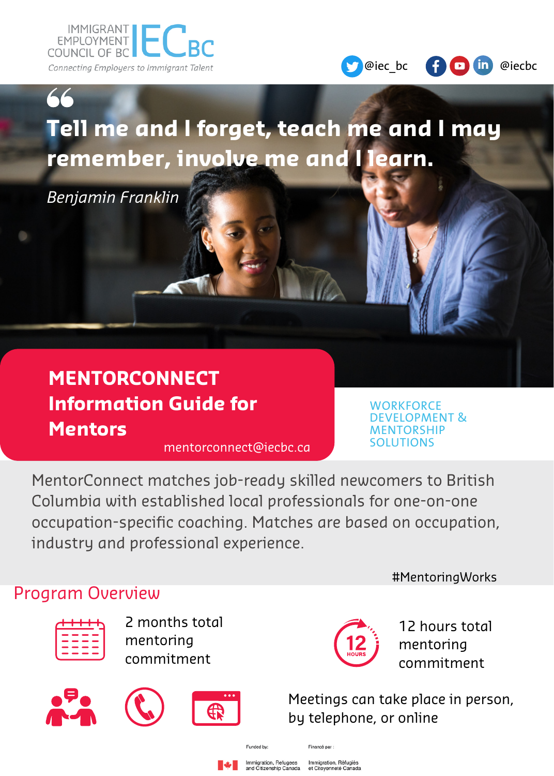



# **Tell me and I forget, teach me and I may remember, involve me and I learn.**

*Benjamin Franklin*

## **MENTORCONNECT Information Guide for Mentors**

mentorconnect@iecbc.ca

**WORKFORCE** DEVELOPMENT & **MENTORSHIP SOLUTIONS** 

MentorConnect matches job-ready skilled newcomers to British Columbia with established local professionals for one-on-one occupation-specific coaching. Matches are based on occupation, industry and professional experience.

#### Program Overview



2 months total mentoring commitment









12 hours total mentoring commitment

#MentoringWorks

Meetings can take place in person, by telephone, or online

Funded by:

Financé nar :

ttion, Refu

Immigration, Réfugiés<br>et Citoyenneté Canada